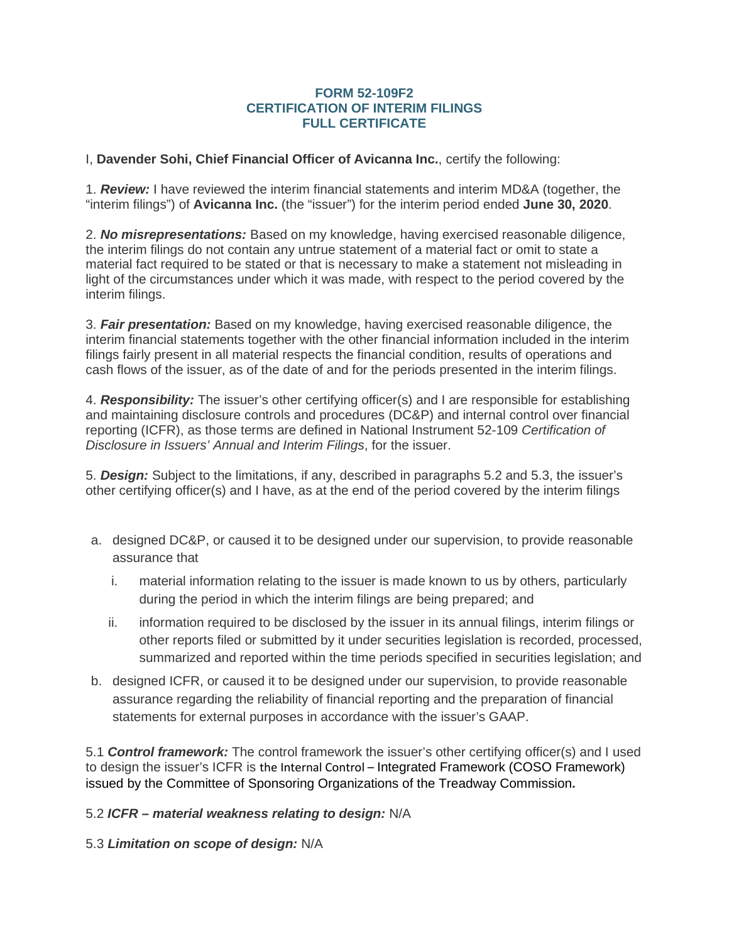## **FORM 52-109F2 CERTIFICATION OF INTERIM FILINGS FULL CERTIFICATE**

I, **Davender Sohi, Chief Financial Officer of Avicanna Inc.**, certify the following:

1. *Review:* I have reviewed the interim financial statements and interim MD&A (together, the "interim filings") of **Avicanna Inc.** (the "issuer") for the interim period ended **June 30, 2020**.

2. *No misrepresentations:* Based on my knowledge, having exercised reasonable diligence, the interim filings do not contain any untrue statement of a material fact or omit to state a material fact required to be stated or that is necessary to make a statement not misleading in light of the circumstances under which it was made, with respect to the period covered by the interim filings.

3. *Fair presentation:* Based on my knowledge, having exercised reasonable diligence, the interim financial statements together with the other financial information included in the interim filings fairly present in all material respects the financial condition, results of operations and cash flows of the issuer, as of the date of and for the periods presented in the interim filings.

4. *Responsibility:* The issuer's other certifying officer(s) and I are responsible for establishing and maintaining disclosure controls and procedures (DC&P) and internal control over financial reporting (ICFR), as those terms are defined in National Instrument 52-109 *Certification of Disclosure in Issuers' Annual and Interim Filings*, for the issuer.

5. *Design:* Subject to the limitations, if any, described in paragraphs 5.2 and 5.3, the issuer's other certifying officer(s) and I have, as at the end of the period covered by the interim filings

- a. designed DC&P, or caused it to be designed under our supervision, to provide reasonable assurance that
	- i. material information relating to the issuer is made known to us by others, particularly during the period in which the interim filings are being prepared; and
	- ii. information required to be disclosed by the issuer in its annual filings, interim filings or other reports filed or submitted by it under securities legislation is recorded, processed, summarized and reported within the time periods specified in securities legislation; and
- b. designed ICFR, or caused it to be designed under our supervision, to provide reasonable assurance regarding the reliability of financial reporting and the preparation of financial statements for external purposes in accordance with the issuer's GAAP.

5.1 *Control framework:* The control framework the issuer's other certifying officer(s) and I used to design the issuer's ICFR is the Internal Control – Integrated Framework (COSO Framework) issued by the Committee of Sponsoring Organizations of the Treadway Commission**.**

5.2 *ICFR – material weakness relating to design:* N/A

5.3 *Limitation on scope of design:* N/A